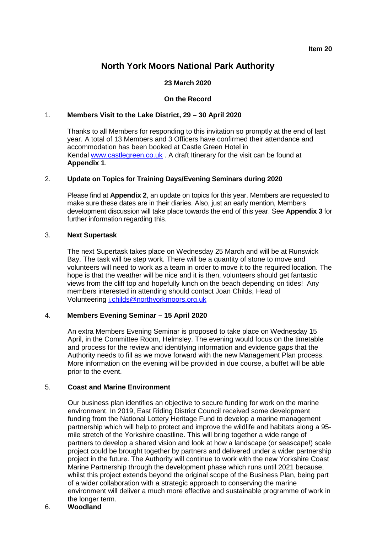**Item 20**

# **North York Moors National Park Authority**

# **23 March 2020**

### **On the Record**

## 1. **Members Visit to the Lake District, 29 – 30 April 2020**

Thanks to all Members for responding to this invitation so promptly at the end of last year. A total of 13 Members and 3 Officers have confirmed their attendance and accommodation has been booked at Castle Green Hotel in Kendal [www.castlegreen.co.uk](http://www.castlegreen.co.uk/) . A draft Itinerary for the visit can be found at **Appendix 1**.

## 2. **Update on Topics for Training Days/Evening Seminars during 2020**

Please find at **Appendix 2**, an update on topics for this year. Members are requested to make sure these dates are in their diaries. Also, just an early mention, Members development discussion will take place towards the end of this year. See **Appendix 3** for further information regarding this.

#### 3. **Next Supertask**

The next Supertask takes place on Wednesday 25 March and will be at Runswick Bay. The task will be step work. There will be a quantity of stone to move and volunteers will need to work as a team in order to move it to the required location. The hope is that the weather will be nice and it is then, volunteers should get fantastic views from the cliff top and hopefully lunch on the beach depending on tides! Any members interested in attending should contact Joan Childs, Head of Volunteering [j.childs@northyorkmoors.org.uk](mailto:j.childs@northyorkmoors.org.uk)

### 4. **Members Evening Seminar – 15 April 2020**

An extra Members Evening Seminar is proposed to take place on Wednesday 15 April, in the Committee Room, Helmsley. The evening would focus on the timetable and process for the review and identifying information and evidence gaps that the Authority needs to fill as we move forward with the new Management Plan process. More information on the evening will be provided in due course, a buffet will be able prior to the event.

# 5. **Coast and Marine Environment**

Our business plan identifies an objective to secure funding for work on the marine environment. In 2019, East Riding District Council received some development funding from the National Lottery Heritage Fund to develop a marine management partnership which will help to protect and improve the wildlife and habitats along a 95 mile stretch of the Yorkshire coastline. This will bring together a wide range of partners to develop a shared vision and look at how a landscape (or seascape!) scale project could be brought together by partners and delivered under a wider partnership project in the future. The Authority will continue to work with the new Yorkshire Coast Marine Partnership through the development phase which runs until 2021 because, whilst this project extends beyond the original scope of the Business Plan, being part of a wider collaboration with a strategic approach to conserving the marine environment will deliver a much more effective and sustainable programme of work in the longer term.

# 6. **Woodland**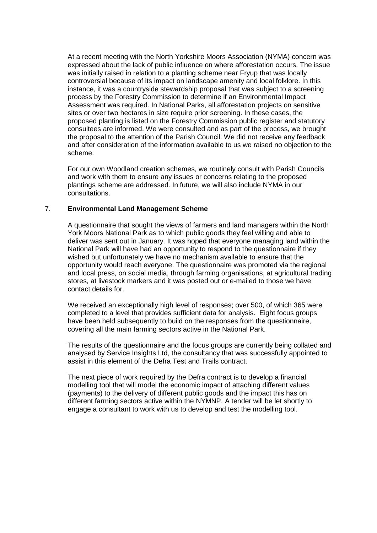At a recent meeting with the North Yorkshire Moors Association (NYMA) concern was expressed about the lack of public influence on where afforestation occurs. The issue was initially raised in relation to a planting scheme near Fryup that was locally controversial because of its impact on landscape amenity and local folklore. In this instance, it was a countryside stewardship proposal that was subject to a screening process by the Forestry Commission to determine if an Environmental Impact Assessment was required. In National Parks, all afforestation projects on sensitive sites or over two hectares in size require prior screening. In these cases, the proposed planting is listed on the Forestry Commission public register and statutory consultees are informed. We were consulted and as part of the process, we brought the proposal to the attention of the Parish Council. We did not receive any feedback and after consideration of the information available to us we raised no objection to the scheme.

For our own Woodland creation schemes, we routinely consult with Parish Councils and work with them to ensure any issues or concerns relating to the proposed plantings scheme are addressed. In future, we will also include NYMA in our consultations.

#### 7. **Environmental Land Management Scheme**

A questionnaire that sought the views of farmers and land managers within the North York Moors National Park as to which public goods they feel willing and able to deliver was sent out in January. It was hoped that everyone managing land within the National Park will have had an opportunity to respond to the questionnaire if they wished but unfortunately we have no mechanism available to ensure that the opportunity would reach everyone. The questionnaire was promoted via the regional and local press, on social media, through farming organisations, at agricultural trading stores, at livestock markers and it was posted out or e-mailed to those we have contact details for.

We received an exceptionally high level of responses; over 500, of which 365 were completed to a level that provides sufficient data for analysis. Eight focus groups have been held subsequently to build on the responses from the questionnaire, covering all the main farming sectors active in the National Park.

The results of the questionnaire and the focus groups are currently being collated and analysed by Service Insights Ltd, the consultancy that was successfully appointed to assist in this element of the Defra Test and Trails contract.

The next piece of work required by the Defra contract is to develop a financial modelling tool that will model the economic impact of attaching different values (payments) to the delivery of different public goods and the impact this has on different farming sectors active within the NYMNP. A tender will be let shortly to engage a consultant to work with us to develop and test the modelling tool.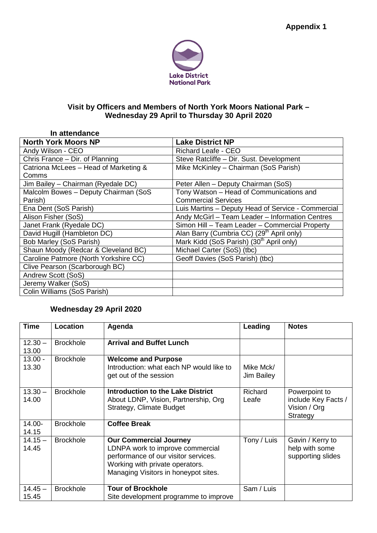

# **Visit by Officers and Members of North York Moors National Park – Wednesday 29 April to Thursday 30 April 2020**

| In attendance                         |                                                       |
|---------------------------------------|-------------------------------------------------------|
| <b>North York Moors NP</b>            | <b>Lake District NP</b>                               |
| Andy Wilson - CEO                     | <b>Richard Leafe - CEO</b>                            |
| Chris France - Dir. of Planning       | Steve Ratcliffe - Dir. Sust. Development              |
| Catriona McLees - Head of Marketing & | Mike McKinley - Chairman (SoS Parish)                 |
| Comms                                 |                                                       |
| Jim Bailey - Chairman (Ryedale DC)    | Peter Allen - Deputy Chairman (SoS)                   |
| Malcolm Bowes - Deputy Chairman (SoS  | Tony Watson - Head of Communications and              |
| Parish)                               | <b>Commercial Services</b>                            |
| Ena Dent (SoS Parish)                 | Luis Martins - Deputy Head of Service - Commercial    |
| Alison Fisher (SoS)                   | Andy McGirl - Team Leader - Information Centres       |
| Janet Frank (Ryedale DC)              | Simon Hill - Team Leader - Commercial Property        |
| David Hugill (Hambleton DC)           | Alan Barry (Cumbria CC) (29 <sup>th</sup> April only) |
| <b>Bob Marley (SoS Parish)</b>        | Mark Kidd (SoS Parish) (30 <sup>th</sup> April only)  |
| Shaun Moody (Redcar & Cleveland BC)   | Michael Carter (SoS) (tbc)                            |
| Caroline Patmore (North Yorkshire CC) | Geoff Davies (SoS Parish) (tbc)                       |
| Clive Pearson (Scarborough BC)        |                                                       |
| Andrew Scott (SoS)                    |                                                       |
| Jeremy Walker (SoS)                   |                                                       |
| Colin Williams (SoS Parish)           |                                                       |

# **Wednesday 29 April 2020**

| <b>Time</b>        | Location         | Agenda                                                                                                                                                                               | Leading                        | <b>Notes</b>                                                     |
|--------------------|------------------|--------------------------------------------------------------------------------------------------------------------------------------------------------------------------------------|--------------------------------|------------------------------------------------------------------|
| $12.30 -$<br>13.00 | <b>Brockhole</b> | <b>Arrival and Buffet Lunch</b>                                                                                                                                                      |                                |                                                                  |
| $13.00 -$<br>13.30 | <b>Brockhole</b> | <b>Welcome and Purpose</b><br>Introduction: what each NP would like to<br>get out of the session                                                                                     | Mike Mck/<br><b>Jim Bailey</b> |                                                                  |
| $13.30 -$<br>14.00 | <b>Brockhole</b> | <b>Introduction to the Lake District</b><br>About LDNP, Vision, Partnership, Org<br><b>Strategy, Climate Budget</b>                                                                  | Richard<br>Leafe               | Powerpoint to<br>include Key Facts /<br>Vision / Org<br>Strategy |
| 14.00-<br>14.15    | <b>Brockhole</b> | <b>Coffee Break</b>                                                                                                                                                                  |                                |                                                                  |
| $14.15 -$<br>14.45 | <b>Brockhole</b> | <b>Our Commercial Journey</b><br>LDNPA work to improve commercial<br>performance of our visitor services.<br>Working with private operators.<br>Managing Visitors in honeypot sites. | Tony / Luis                    | Gavin / Kerry to<br>help with some<br>supporting slides          |
| $14.45 -$<br>15.45 | <b>Brockhole</b> | <b>Tour of Brockhole</b><br>Site development programme to improve                                                                                                                    | Sam / Luis                     |                                                                  |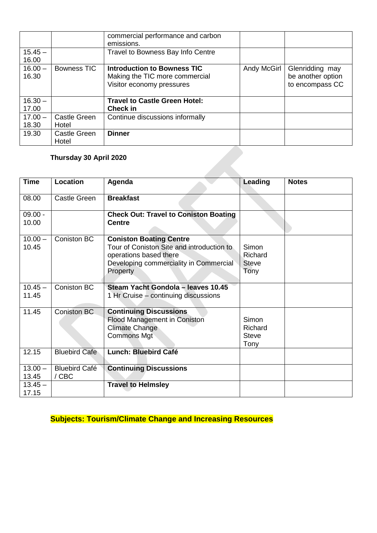|           |                    | commercial performance and carbon    |             |                   |
|-----------|--------------------|--------------------------------------|-------------|-------------------|
|           |                    | emissions.                           |             |                   |
| $15.45 -$ |                    | Travel to Bowness Bay Info Centre    |             |                   |
| 16.00     |                    |                                      |             |                   |
| $16.00 -$ | <b>Bowness TIC</b> | <b>Introduction to Bowness TIC</b>   | Andy McGirl | Glenridding may   |
| 16.30     |                    | Making the TIC more commercial       |             | be another option |
|           |                    | Visitor economy pressures            |             | to encompass CC   |
|           |                    |                                      |             |                   |
| $16.30 -$ |                    | <b>Travel to Castle Green Hotel:</b> |             |                   |
| 17.00     |                    | Check in                             |             |                   |
| $17.00 -$ | Castle Green       | Continue discussions informally      |             |                   |
| 18.30     | Hotel              |                                      |             |                   |
| 19.30     | Castle Green       | <b>Dinner</b>                        |             |                   |
|           | Hotel              |                                      |             |                   |

# **Thursday 30 April 2020**

|                    | Thursday 30 April 2020        |                                                                                                                                                             |                                          |              |
|--------------------|-------------------------------|-------------------------------------------------------------------------------------------------------------------------------------------------------------|------------------------------------------|--------------|
| <b>Time</b>        | Location                      | Agenda                                                                                                                                                      | Leading                                  | <b>Notes</b> |
| 08.00              | <b>Castle Green</b>           | <b>Breakfast</b>                                                                                                                                            |                                          |              |
| $09.00 -$<br>10.00 |                               | <b>Check Out: Travel to Coniston Boating</b><br><b>Centre</b>                                                                                               |                                          |              |
| $10.00 -$<br>10.45 | Coniston BC                   | <b>Coniston Boating Centre</b><br>Tour of Coniston Site and introduction to<br>operations based there<br>Developing commerciality in Commercial<br>Property | Simon<br>Richard<br><b>Steve</b><br>Tony |              |
| $10.45 -$<br>11.45 | Coniston BC                   | Steam Yacht Gondola - leaves 10.45<br>1 Hr Cruise – continuing discussions                                                                                  |                                          |              |
| 11.45              | Coniston BC                   | <b>Continuing Discussions</b><br>Flood Management in Coniston<br>Climate Change<br>Commons Mgt                                                              | Simon<br>Richard<br><b>Steve</b><br>Tony |              |
| 12.15              | <b>Bluebird Cafe</b>          | <b>Lunch: Bluebird Café</b>                                                                                                                                 |                                          |              |
| $13.00 -$<br>13.45 | <b>Bluebird Café</b><br>/ CBC | <b>Continuing Discussions</b>                                                                                                                               |                                          |              |
| $13.45 -$<br>17.15 |                               | <b>Travel to Helmsley</b>                                                                                                                                   |                                          |              |

**Subjects: Tourism/Climate Change and Increasing Resources**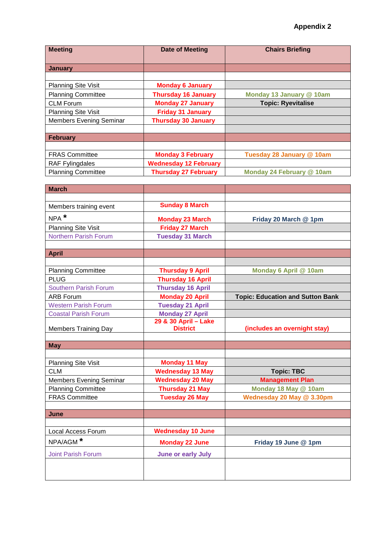| <b>Meeting</b>                 | <b>Date of Meeting</b>       | <b>Chairs Briefing</b>    |
|--------------------------------|------------------------------|---------------------------|
| <b>January</b>                 |                              |                           |
|                                |                              |                           |
| <b>Planning Site Visit</b>     | <b>Monday 6 January</b>      |                           |
| <b>Planning Committee</b>      | <b>Thursday 16 January</b>   | Monday 13 January @ 10am  |
| <b>CLM Forum</b>               | <b>Monday 27 January</b>     | <b>Topic: Ryevitalise</b> |
| <b>Planning Site Visit</b>     | <b>Friday 31 January</b>     |                           |
| <b>Members Evening Seminar</b> | <b>Thursday 30 January</b>   |                           |
|                                |                              |                           |
| <b>February</b>                |                              |                           |
|                                |                              |                           |
| <b>FRAS Committee</b>          | <b>Monday 3 February</b>     | Tuesday 28 January @ 10am |
| <b>RAF Fylingdales</b>         | <b>Wednesday 12 February</b> |                           |
| <b>Planning Committee</b>      | <b>Thursday 27 February</b>  | Monday 24 February @ 10am |

| <b>March</b>                   |                                         |                                         |
|--------------------------------|-----------------------------------------|-----------------------------------------|
|                                |                                         |                                         |
| Members training event         | <b>Sunday 8 March</b>                   |                                         |
| $NPA$ *                        | <b>Monday 23 March</b>                  | Friday 20 March @ 1pm                   |
| <b>Planning Site Visit</b>     | <b>Friday 27 March</b>                  |                                         |
| <b>Northern Parish Forum</b>   | <b>Tuesday 31 March</b>                 |                                         |
|                                |                                         |                                         |
| <b>April</b>                   |                                         |                                         |
|                                |                                         |                                         |
| <b>Planning Committee</b>      | <b>Thursday 9 April</b>                 | Monday 6 April @ 10am                   |
| <b>PLUG</b>                    | <b>Thursday 16 April</b>                |                                         |
| Southern Parish Forum          | <b>Thursday 16 April</b>                |                                         |
| <b>ARB Forum</b>               | <b>Monday 20 April</b>                  | <b>Topic: Education and Sutton Bank</b> |
| <b>Western Parish Forum</b>    | <b>Tuesday 21 April</b>                 |                                         |
| <b>Coastal Parish Forum</b>    | <b>Monday 27 April</b>                  |                                         |
|                                | 29 & 30 April - Lake<br><b>District</b> |                                         |
| <b>Members Training Day</b>    |                                         | (includes an overnight stay)            |
| <b>May</b>                     |                                         |                                         |
|                                |                                         |                                         |
| <b>Planning Site Visit</b>     | <b>Monday 11 May</b>                    |                                         |
| <b>CLM</b>                     | <b>Wednesday 13 May</b>                 | <b>Topic: TBC</b>                       |
| <b>Members Evening Seminar</b> | <b>Wednesday 20 May</b>                 | <b>Management Plan</b>                  |
| <b>Planning Committee</b>      | <b>Thursday 21 May</b>                  | Monday 18 May @ 10am                    |
| <b>FRAS Committee</b>          | <b>Tuesday 26 May</b>                   | Wednesday 20 May @ 3.30pm               |
|                                |                                         |                                         |
| June                           |                                         |                                         |
|                                |                                         |                                         |
| Local Access Forum             | <b>Wednesday 10 June</b>                |                                         |
| NPA/AGM <sup>*</sup>           | <b>Monday 22 June</b>                   | Friday 19 June @ 1pm                    |
| <b>Joint Parish Forum</b>      | <b>June or early July</b>               |                                         |
|                                |                                         |                                         |
|                                |                                         |                                         |
|                                |                                         |                                         |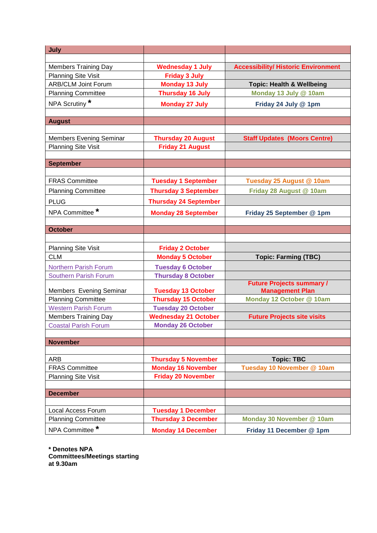| July                           |                              |                                            |  |
|--------------------------------|------------------------------|--------------------------------------------|--|
|                                |                              |                                            |  |
| <b>Members Training Day</b>    | <b>Wednesday 1 July</b>      | <b>Accessibility/ Historic Environment</b> |  |
| <b>Planning Site Visit</b>     | <b>Friday 3 July</b>         |                                            |  |
| <b>ARB/CLM Joint Forum</b>     | <b>Monday 13 July</b>        | <b>Topic: Health &amp; Wellbeing</b>       |  |
| <b>Planning Committee</b>      | <b>Thursday 16 July</b>      | Monday 13 July @ 10am                      |  |
| NPA Scrutiny*                  | <b>Monday 27 July</b>        | Friday 24 July @ 1pm                       |  |
|                                |                              |                                            |  |
| <b>August</b>                  |                              |                                            |  |
|                                |                              |                                            |  |
| <b>Members Evening Seminar</b> | <b>Thursday 20 August</b>    | <b>Staff Updates (Moors Centre)</b>        |  |
| <b>Planning Site Visit</b>     | <b>Friday 21 August</b>      |                                            |  |
| <b>September</b>               |                              |                                            |  |
|                                |                              |                                            |  |
| <b>FRAS Committee</b>          | <b>Tuesday 1 September</b>   | Tuesday 25 August @ 10am                   |  |
| <b>Planning Committee</b>      | <b>Thursday 3 September</b>  | Friday 28 August @ 10am                    |  |
| <b>PLUG</b>                    | <b>Thursday 24 September</b> |                                            |  |
| NPA Committee*                 |                              |                                            |  |
|                                | <b>Monday 28 September</b>   | Friday 25 September @ 1pm                  |  |
| <b>October</b>                 |                              |                                            |  |
|                                |                              |                                            |  |
| <b>Planning Site Visit</b>     | <b>Friday 2 October</b>      |                                            |  |
| <b>CLM</b>                     | <b>Monday 5 October</b>      | <b>Topic: Farming (TBC)</b>                |  |
| <b>Northern Parish Forum</b>   | <b>Tuesday 6 October</b>     |                                            |  |
| <b>Southern Parish Forum</b>   | <b>Thursday 8 October</b>    |                                            |  |
|                                |                              | <b>Future Projects summary /</b>           |  |
| Members Evening Seminar        | <b>Tuesday 13 October</b>    | <b>Management Plan</b>                     |  |
| <b>Planning Committee</b>      | <b>Thursday 15 October</b>   | Monday 12 October @ 10am                   |  |
| <b>Western Parish Forum</b>    | <b>Tuesday 20 October</b>    |                                            |  |
| <b>Members Training Day</b>    | <b>Wednesday 21 October</b>  | <b>Future Projects site visits</b>         |  |
| <b>Coastal Parish Forum</b>    | <b>Monday 26 October</b>     |                                            |  |
| <b>November</b>                |                              |                                            |  |
|                                |                              |                                            |  |
| ARB                            | <b>Thursday 5 November</b>   | <b>Topic: TBC</b>                          |  |
| <b>FRAS Committee</b>          | <b>Monday 16 November</b>    | Tuesday 10 November @ 10am                 |  |
| <b>Planning Site Visit</b>     | <b>Friday 20 November</b>    |                                            |  |
|                                |                              |                                            |  |
| <b>December</b>                |                              |                                            |  |
|                                |                              |                                            |  |
| Local Access Forum             | <b>Tuesday 1 December</b>    |                                            |  |
| <b>Planning Committee</b>      | <b>Thursday 3 December</b>   | Monday 30 November @ 10am                  |  |
| NPA Committee <sup>*</sup>     | <b>Monday 14 December</b>    | Friday 11 December @ 1pm                   |  |

**\* Denotes NPA Committees/Meetings starting at 9.30am**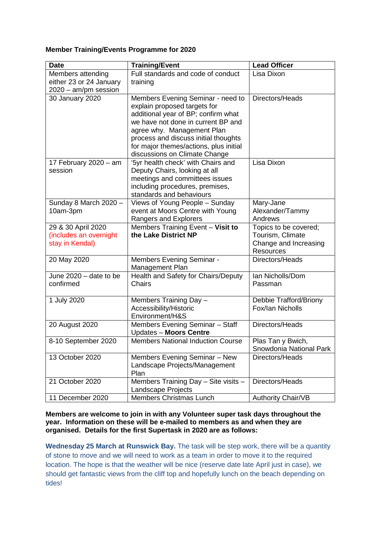## **Member Training/Events Programme for 2020**

| <b>Date</b>             | <b>Training/Event</b>                                             | <b>Lead Officer</b>       |
|-------------------------|-------------------------------------------------------------------|---------------------------|
| Members attending       | Full standards and code of conduct                                | Lisa Dixon                |
| either 23 or 24 January | training                                                          |                           |
| $2020 - am/pm$ session  |                                                                   |                           |
| 30 January 2020         | Members Evening Seminar - need to                                 | Directors/Heads           |
|                         | explain proposed targets for                                      |                           |
|                         | additional year of BP; confirm what                               |                           |
|                         | we have not done in current BP and                                |                           |
|                         | agree why. Management Plan                                        |                           |
|                         | process and discuss initial thoughts                              |                           |
|                         | for major themes/actions, plus initial                            |                           |
|                         | discussions on Climate Change                                     |                           |
| 17 February 2020 - am   | '5yr health check' with Chairs and                                | Lisa Dixon                |
| session                 | Deputy Chairs, looking at all                                     |                           |
|                         | meetings and committees issues<br>including procedures, premises, |                           |
|                         | standards and behaviours                                          |                           |
| Sunday 8 March 2020 -   | Views of Young People - Sunday                                    | Mary-Jane                 |
| 10am-3pm                | event at Moors Centre with Young                                  | Alexander/Tammy           |
|                         | Rangers and Explorers                                             | Andrews                   |
| 29 & 30 April 2020      | Members Training Event - Visit to                                 | Topics to be covered;     |
| (includes an overnight  | the Lake District NP                                              | Tourism, Climate          |
| stay in Kendal)         |                                                                   | Change and Increasing     |
|                         |                                                                   | <b>Resources</b>          |
| 20 May 2020             | Members Evening Seminar -                                         | Directors/Heads           |
|                         | Management Plan                                                   |                           |
| June 2020 - date to be  | Health and Safety for Chairs/Deputy                               | Ian Nicholls/Dom          |
| confirmed               | <b>Chairs</b>                                                     | Passman                   |
|                         |                                                                   |                           |
| 1 July 2020             | Members Training Day -                                            | Debbie Trafford/Briony    |
|                         | Accessibility/Historic<br>Environment/H&S                         | Fox/Ian Nicholls          |
|                         |                                                                   | Directors/Heads           |
| 20 August 2020          | Members Evening Seminar - Staff<br><b>Updates - Moors Centre</b>  |                           |
| 8-10 September 2020     | <b>Members National Induction Course</b>                          | Plas Tan y Bwich,         |
|                         |                                                                   | Snowdonia National Park   |
| 13 October 2020         | Members Evening Seminar - New                                     | Directors/Heads           |
|                         | Landscape Projects/Management                                     |                           |
|                         | Plan                                                              |                           |
| 21 October 2020         | Members Training Day - Site visits -                              | Directors/Heads           |
|                         | Landscape Projects                                                |                           |
| 11 December 2020        | Members Christmas Lunch                                           | <b>Authority Chair/VB</b> |

#### **Members are welcome to join in with any Volunteer super task days throughout the year. Information on these will be e-mailed to members as and when they are organised. Details for the first Supertask in 2020 are as follows:**

**Wednesday 25 March at Runswick Bay.** The task will be step work, there will be a quantity of stone to move and we will need to work as a team in order to move it to the required location. The hope is that the weather will be nice (reserve date late April just in case), we should get fantastic views from the cliff top and hopefully lunch on the beach depending on tides!